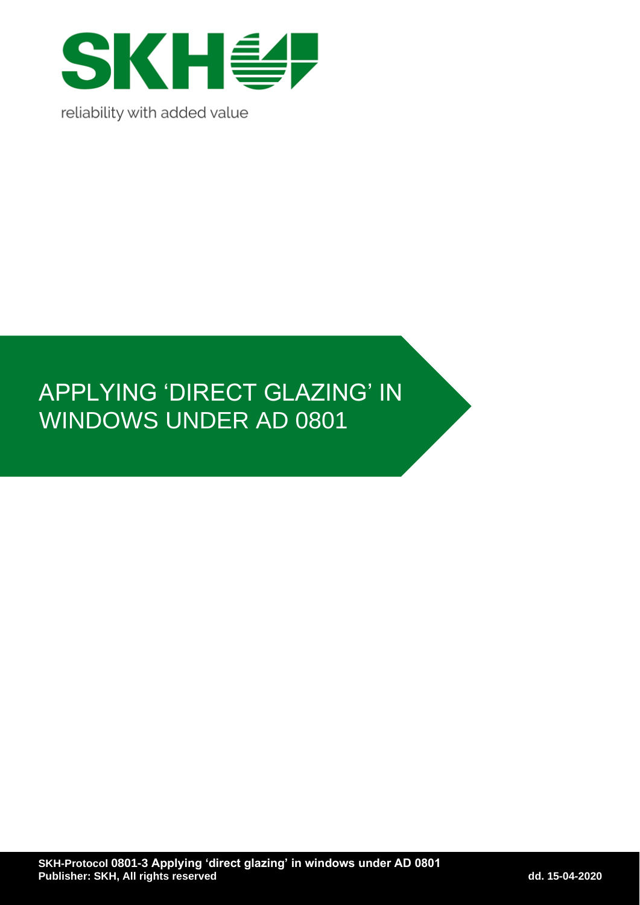

# APPLYING 'DIRECT GLAZING' IN WINDOWS UNDER AD 0801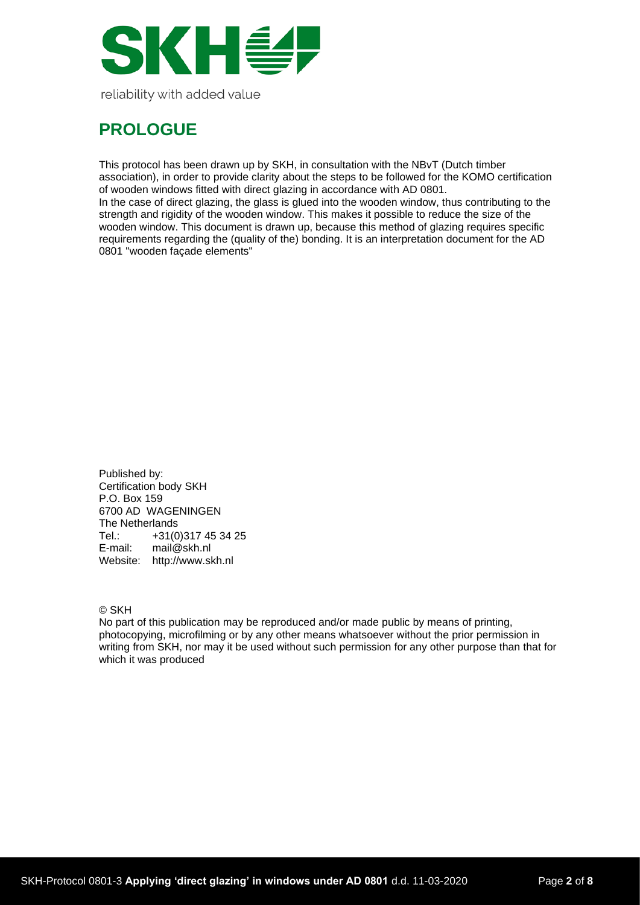

## **PROLOGUE**

This protocol has been drawn up by SKH, in consultation with the NBvT (Dutch timber association), in order to provide clarity about the steps to be followed for the KOMO certification of wooden windows fitted with direct glazing in accordance with AD 0801. In the case of direct glazing, the glass is glued into the wooden window, thus contributing to the strength and rigidity of the wooden window. This makes it possible to reduce the size of the wooden window. This document is drawn up, because this method of glazing requires specific requirements regarding the (quality of the) bonding. It is an interpretation document for the AD 0801 "wooden façade elements"

Published by: Certification body SKH P.O. Box 159 6700 AD WAGENINGEN The Netherlands<br>Tel.: +31(0) Tel.: +31(0)317 45 34 25<br>E-mail: mail@skh.nl mail@skh.nl Website: http://www.skh.nl

© SKH

No part of this publication may be reproduced and/or made public by means of printing, photocopying, microfilming or by any other means whatsoever without the prior permission in writing from SKH, nor may it be used without such permission for any other purpose than that for which it was produced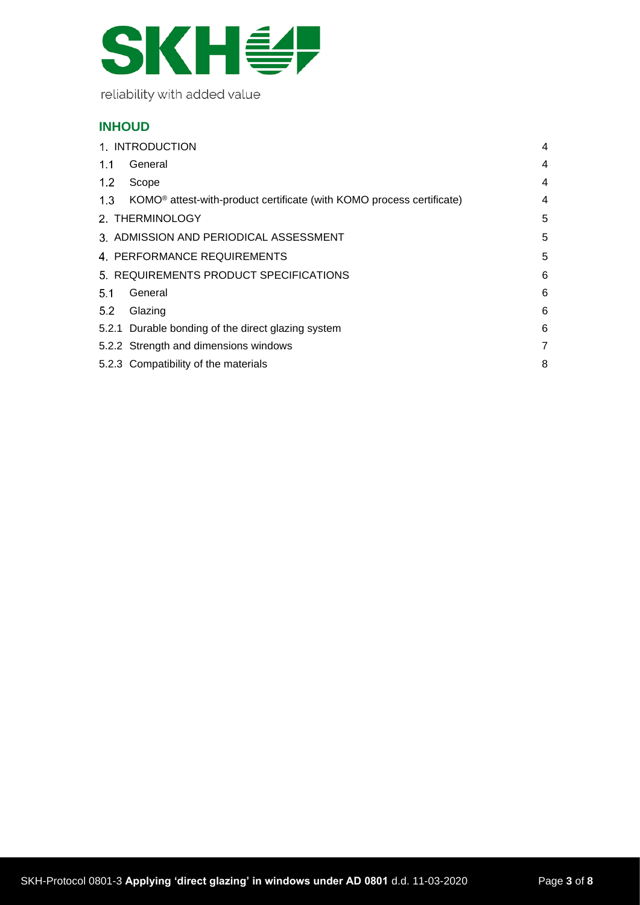

## **INHOUD**

| 1. INTRODUCTION                        |                                                                                   |   |
|----------------------------------------|-----------------------------------------------------------------------------------|---|
| 1.1                                    | General                                                                           | 4 |
| 1.2                                    | Scope                                                                             | 4 |
| 1.3                                    | KOMO <sup>®</sup> attest-with-product certificate (with KOMO process certificate) | 4 |
| 2. THERMINOLOGY                        |                                                                                   |   |
| 3. ADMISSION AND PERIODICAL ASSESSMENT |                                                                                   |   |
| 4. PERFORMANCE REQUIREMENTS            |                                                                                   |   |
| 5. REQUIREMENTS PRODUCT SPECIFICATIONS |                                                                                   |   |
| 5.1                                    | General                                                                           | 6 |
| 5.2                                    | Glazing                                                                           | 6 |
|                                        | 5.2.1 Durable bonding of the direct glazing system                                | 6 |
|                                        | 5.2.2 Strength and dimensions windows                                             | 7 |
|                                        | 5.2.3 Compatibility of the materials                                              | 8 |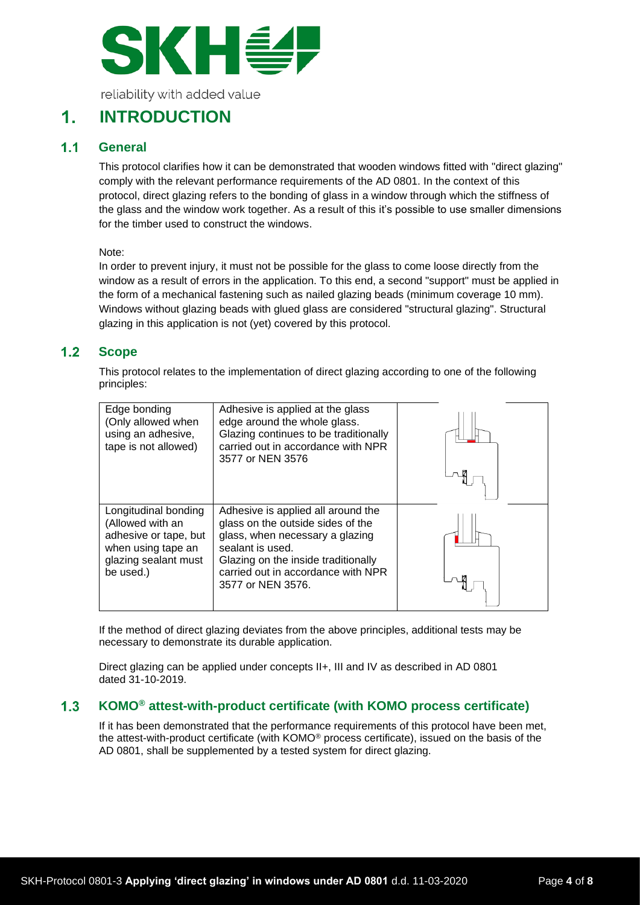

#### <span id="page-3-0"></span> $\mathbf 1$ **INTRODUCTION**

#### <span id="page-3-1"></span> $1.1$ **General**

This protocol clarifies how it can be demonstrated that wooden windows fitted with "direct glazing" comply with the relevant performance requirements of the AD 0801. In the context of this protocol, direct glazing refers to the bonding of glass in a window through which the stiffness of the glass and the window work together. As a result of this it's possible to use smaller dimensions for the timber used to construct the windows.

Note:

In order to prevent injury, it must not be possible for the glass to come loose directly from the window as a result of errors in the application. To this end, a second "support" must be applied in the form of a mechanical fastening such as nailed glazing beads (minimum coverage 10 mm). Windows without glazing beads with glued glass are considered "structural glazing". Structural glazing in this application is not (yet) covered by this protocol.

#### <span id="page-3-2"></span> $1.2$ **Scope**

This protocol relates to the implementation of direct glazing according to one of the following principles:

| Edge bonding<br>(Only allowed when<br>using an adhesive,<br>tape is not allowed)                                             | Adhesive is applied at the glass<br>edge around the whole glass.<br>Glazing continues to be traditionally<br>carried out in accordance with NPR<br>3577 or NEN 3576                                                              |  |
|------------------------------------------------------------------------------------------------------------------------------|----------------------------------------------------------------------------------------------------------------------------------------------------------------------------------------------------------------------------------|--|
| Longitudinal bonding<br>(Allowed with an<br>adhesive or tape, but<br>when using tape an<br>glazing sealant must<br>be used.) | Adhesive is applied all around the<br>glass on the outside sides of the<br>glass, when necessary a glazing<br>sealant is used.<br>Glazing on the inside traditionally<br>carried out in accordance with NPR<br>3577 or NEN 3576. |  |

If the method of direct glazing deviates from the above principles, additional tests may be necessary to demonstrate its durable application.

Direct glazing can be applied under concepts II+, III and IV as described in AD 0801 dated 31-10-2019.

#### <span id="page-3-3"></span>**KOMO® attest-with-product certificate (with KOMO process certificate)**  $1.3$

If it has been demonstrated that the performance requirements of this protocol have been met, the attest-with-product certificate (with KOMO® process certificate), issued on the basis of the AD 0801, shall be supplemented by a tested system for direct glazing.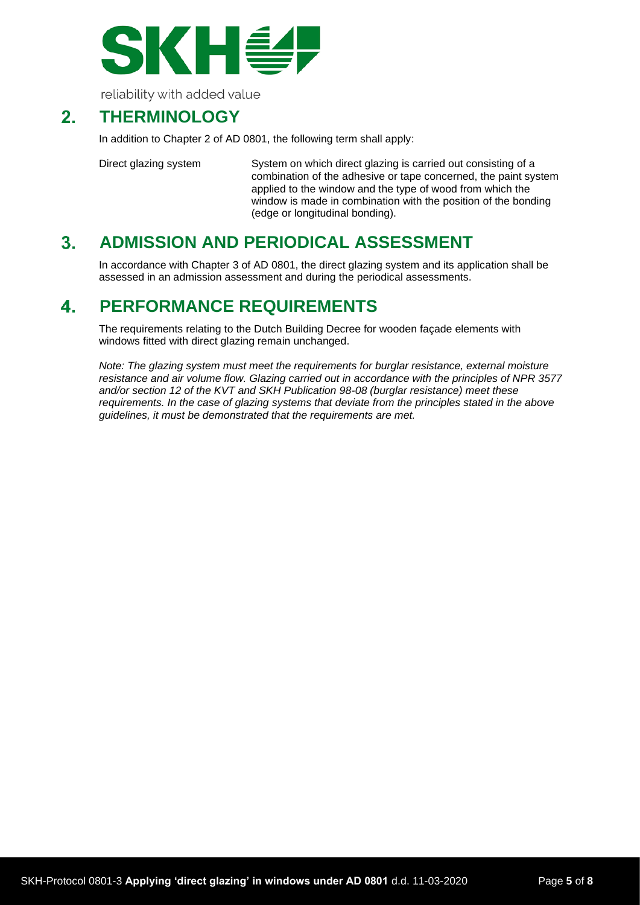

#### <span id="page-4-0"></span> $2<sub>-</sub>$ **THERMINOLOGY**

In addition to Chapter 2 of AD 0801, the following term shall apply:

Direct glazing system System on which direct glazing is carried out consisting of a combination of the adhesive or tape concerned, the paint system applied to the window and the type of wood from which the window is made in combination with the position of the bonding (edge or longitudinal bonding).

#### <span id="page-4-1"></span> $3<sub>1</sub>$ **ADMISSION AND PERIODICAL ASSESSMENT**

In accordance with Chapter 3 of AD 0801, the direct glazing system and its application shall be assessed in an admission assessment and during the periodical assessments.

#### <span id="page-4-2"></span> $\mathbf{4}$ . **PERFORMANCE REQUIREMENTS**

The requirements relating to the Dutch Building Decree for wooden façade elements with windows fitted with direct glazing remain unchanged.

*Note: The glazing system must meet the requirements for burglar resistance, external moisture resistance and air volume flow. Glazing carried out in accordance with the principles of NPR 3577 and/or section 12 of the KVT and SKH Publication 98-08 (burglar resistance) meet these requirements. In the case of glazing systems that deviate from the principles stated in the above guidelines, it must be demonstrated that the requirements are met.*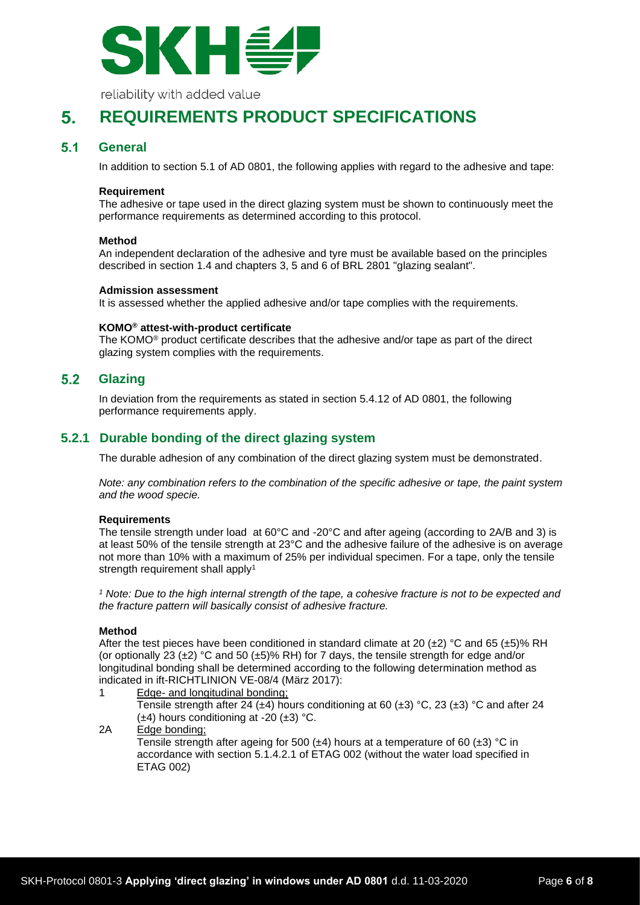

#### <span id="page-5-0"></span>**REQUIREMENTS PRODUCT SPECIFICATIONS** 5.

#### <span id="page-5-1"></span> $5.1$ **General**

In addition to section 5.1 of AD 0801, the following applies with regard to the adhesive and tape:

## **Requirement**

The adhesive or tape used in the direct glazing system must be shown to continuously meet the performance requirements as determined according to this protocol.

### **Method**

An independent declaration of the adhesive and tyre must be available based on the principles described in section 1.4 and chapters 3, 5 and 6 of BRL 2801 "glazing sealant".

### **Admission assessment**

It is assessed whether the applied adhesive and/or tape complies with the requirements.

### **KOMO® attest-with-product certificate**

The KOMO® product certificate describes that the adhesive and/or tape as part of the direct glazing system complies with the requirements.

#### <span id="page-5-2"></span> $5.2$ **Glazing**

In deviation from the requirements as stated in section 5.4.12 of AD 0801, the following performance requirements apply.

## <span id="page-5-3"></span>**5.2.1 Durable bonding of the direct glazing system**

The durable adhesion of any combination of the direct glazing system must be demonstrated.

*Note: any combination refers to the combination of the specific adhesive or tape, the paint system and the wood specie.*

### **Requirements**

The tensile strength under load at 60°C and -20°C and after ageing (according to 2A/B and 3) is at least 50% of the tensile strength at 23°C and the adhesive failure of the adhesive is on average not more than 10% with a maximum of 25% per individual specimen. For a tape, only the tensile strength requirement shall apply<sup>1</sup>

*<sup>1</sup> Note: Due to the high internal strength of the tape, a cohesive fracture is not to be expected and the fracture pattern will basically consist of adhesive fracture.*

### **Method**

After the test pieces have been conditioned in standard climate at 20 ( $\pm$ 2) °C and 65 ( $\pm$ 5)% RH (or optionally 23 ( $\pm$ 2) °C and 50 ( $\pm$ 5)% RH) for 7 days, the tensile strength for edge and/or longitudinal bonding shall be determined according to the following determination method as indicated in ift-RICHTLINION VE-08/4 (März 2017):

1 Edge- and longitudinal bonding; Tensile strength after 24 ( $\pm$ 4) hours conditioning at 60 ( $\pm$ 3) °C, 23 ( $\pm$ 3) °C and after 24  $(\pm 4)$  hours conditioning at -20  $(\pm 3)$  °C. 2A Edge bonding;

Tensile strength after ageing for 500 ( $\pm$ 4) hours at a temperature of 60 ( $\pm$ 3) °C in accordance with section 5.1.4.2.1 of ETAG 002 (without the water load specified in ETAG 002)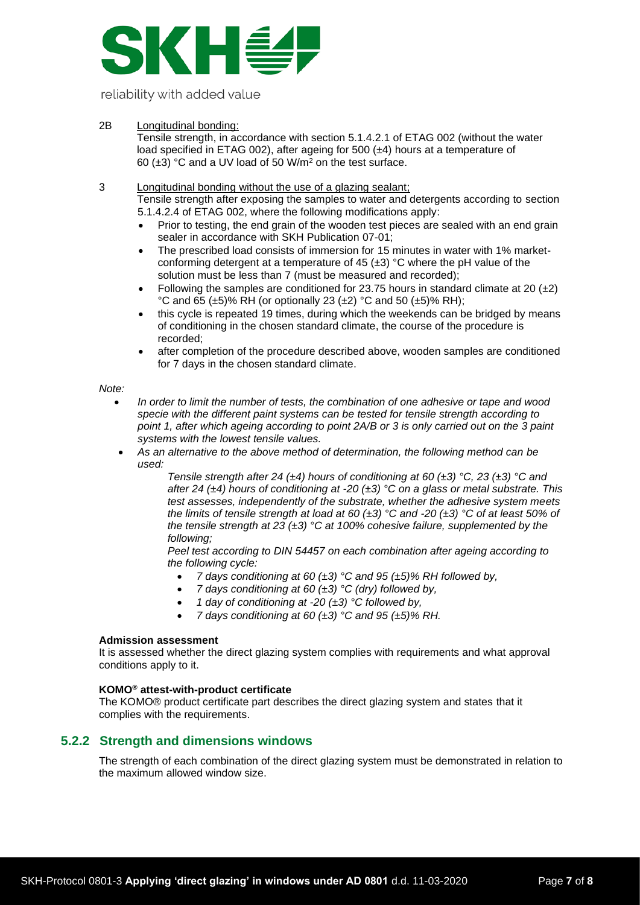

## 2B Longitudinal bonding:

Tensile strength, in accordance with section 5.1.4.2.1 of ETAG 002 (without the water load specified in ETAG 002), after ageing for 500 (±4) hours at a temperature of 60 (±3) °C and a UV load of 50 W/m<sup>2</sup> on the test surface.

- 3 Longitudinal bonding without the use of a glazing sealant; Tensile strength after exposing the samples to water and detergents according to section 5.1.4.2.4 of ETAG 002, where the following modifications apply:
	- Prior to testing, the end grain of the wooden test pieces are sealed with an end grain sealer in accordance with SKH Publication 07-01;
	- The prescribed load consists of immersion for 15 minutes in water with 1% marketconforming detergent at a temperature of 45  $(\pm 3)$  °C where the pH value of the solution must be less than 7 (must be measured and recorded);
	- Following the samples are conditioned for 23.75 hours in standard climate at 20  $(\pm 2)$ °C and 65 ( $\pm$ 5)% RH (or optionally 23 ( $\pm$ 2) °C and 50 ( $\pm$ 5)% RH);
	- this cycle is repeated 19 times, during which the weekends can be bridged by means of conditioning in the chosen standard climate, the course of the procedure is recorded;
	- after completion of the procedure described above, wooden samples are conditioned for 7 days in the chosen standard climate.

#### *Note:*

- *In order to limit the number of tests, the combination of one adhesive or tape and wood specie with the different paint systems can be tested for tensile strength according to point 1, after which ageing according to point 2A/B or 3 is only carried out on the 3 paint systems with the lowest tensile values.*
- *As an alternative to the above method of determination, the following method can be used:*

*Tensile strength after 24 (±4) hours of conditioning at 60 (±3) °C, 23 (±3) °C and after 24 (±4) hours of conditioning at -20 (±3) °C on a glass or metal substrate. This test assesses, independently of the substrate, whether the adhesive system meets the limits of tensile strength at load at 60 (±3) °C and -20 (±3) °C of at least 50% of the tensile strength at 23 (±3) °C at 100% cohesive failure, supplemented by the following;*

*Peel test according to DIN 54457 on each combination after ageing according to the following cycle:*

- *7 days conditioning at 60 (±3) °C and 95 (±5)% RH followed by,*
- *7 days conditioning at 60 (±3) °C (dry) followed by,*
- *1 day of conditioning at -20 (±3) °C followed by,*
- *7 days conditioning at 60 (±3) °C and 95 (±5)% RH.*

### **Admission assessment**

It is assessed whether the direct glazing system complies with requirements and what approval conditions apply to it.

## **KOMO® attest-with-product certificate**

The KOMO® product certificate part describes the direct glazing system and states that it complies with the requirements.

## <span id="page-6-0"></span>**5.2.2 Strength and dimensions windows**

The strength of each combination of the direct glazing system must be demonstrated in relation to the maximum allowed window size.